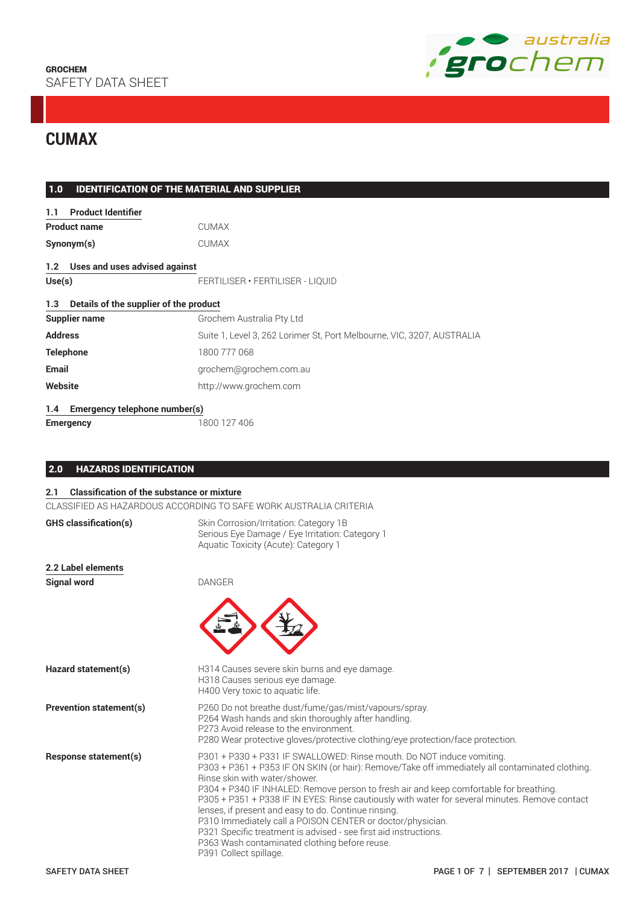

# **CUMAX**

| 1.0       | <b>IDENTIFICATION OF THE MATERIAL AND SUPPLIER</b> |                                                                        |
|-----------|----------------------------------------------------|------------------------------------------------------------------------|
| 1.1       | <b>Product Identifier</b>                          |                                                                        |
|           | <b>Product name</b>                                | <b>CUMAX</b>                                                           |
|           | Synonym(s)                                         | <b>CUMAX</b>                                                           |
|           | 1.2 Uses and uses advised against                  |                                                                        |
| Use(s)    |                                                    | FERTILISER · FERTILISER - LIQUID                                       |
| 1.3       | Details of the supplier of the product             |                                                                        |
|           | <b>Supplier name</b>                               | Grochem Australia Pty Ltd                                              |
| Address   |                                                    | Suite 1, Level 3, 262 Lorimer St, Port Melbourne, VIC, 3207, AUSTRALIA |
| Telephone |                                                    | 1800 777 068                                                           |
| Email     |                                                    | grochem@grochem.com.au                                                 |
| Website   |                                                    | http://www.grochem.com                                                 |
| 1.4       | Emergency telephone number(s)                      |                                                                        |
|           | <b>Emergency</b>                                   | 1800 127 406                                                           |

# 2.0 HAZARDS IDENTIFICATION

# **2.1 Classification of the substance or mixture**

CLASSIFIED AS HAZARDOUS ACCORDING TO SAFE WORK AUSTRALIA CRITERIA

| <b>GHS</b> classification(s)   | Skin Corrosion/Irritation: Category 1B<br>Serious Eye Damage / Eye Irritation: Category 1<br>Aquatic Toxicity (Acute): Category 1                                                                                                                                                                                                                                                                                                                                                                                                                                                                                                                                          |
|--------------------------------|----------------------------------------------------------------------------------------------------------------------------------------------------------------------------------------------------------------------------------------------------------------------------------------------------------------------------------------------------------------------------------------------------------------------------------------------------------------------------------------------------------------------------------------------------------------------------------------------------------------------------------------------------------------------------|
| 2.2 Label elements             |                                                                                                                                                                                                                                                                                                                                                                                                                                                                                                                                                                                                                                                                            |
| <b>Signal word</b>             | <b>DANGER</b>                                                                                                                                                                                                                                                                                                                                                                                                                                                                                                                                                                                                                                                              |
| Hazard statement(s)            | H314 Causes severe skin burns and eye damage.<br>H318 Causes serious eye damage.<br>H400 Very toxic to aquatic life.                                                                                                                                                                                                                                                                                                                                                                                                                                                                                                                                                       |
| <b>Prevention statement(s)</b> | P260 Do not breathe dust/fume/gas/mist/vapours/spray.<br>P264 Wash hands and skin thoroughly after handling.<br>P273 Avoid release to the environment.<br>P280 Wear protective gloves/protective clothing/eye protection/face protection.                                                                                                                                                                                                                                                                                                                                                                                                                                  |
| Response statement(s)          | P301 + P330 + P331 IF SWALLOWED: Rinse mouth. Do NOT induce vomiting.<br>P303 + P361 + P353 IF ON SKIN (or hair): Remove/Take off immediately all contaminated clothing.<br>Rinse skin with water/shower.<br>P304 + P340 IF INHALED: Remove person to fresh air and keep comfortable for breathing.<br>P305 + P351 + P338 IF IN EYES: Rinse cautiously with water for several minutes. Remove contact<br>lenses, if present and easy to do. Continue rinsing.<br>P310 Immediately call a POISON CENTER or doctor/physician.<br>P321 Specific treatment is advised - see first aid instructions.<br>P363 Wash contaminated clothing before reuse.<br>P391 Collect spillage. |
| <b>SAFETY DATA SHEET</b>       | PAGE 1 OF 7   SEPTEMBER 2017   CUMAX                                                                                                                                                                                                                                                                                                                                                                                                                                                                                                                                                                                                                                       |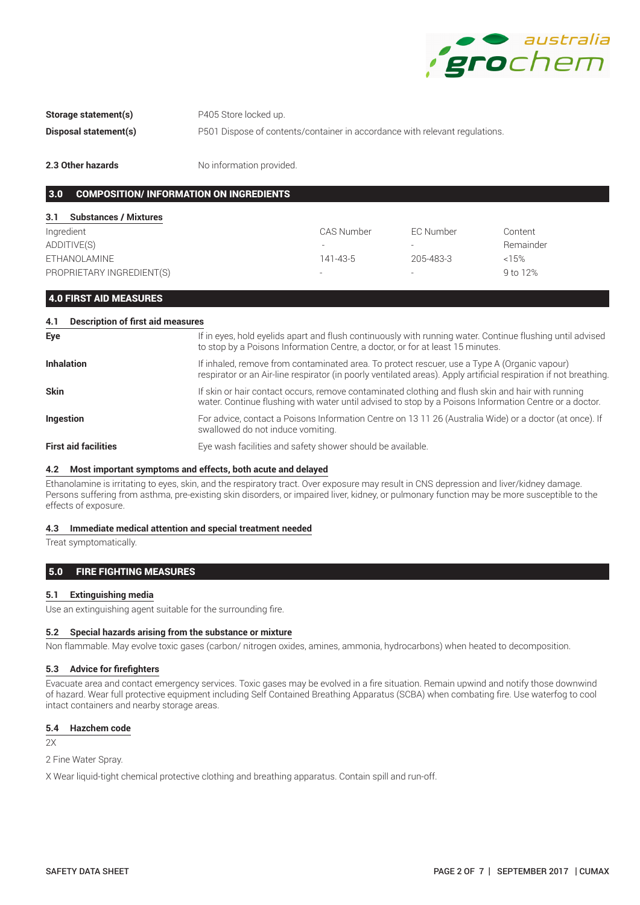

**Storage statement(s)** P405 Store locked up.

**Disposal statement(s)** P501 Dispose of contents/container in accordance with relevant regulations.

**2.3 Other hazards** No information provided.

# 3.0 COMPOSITION/ INFORMATION ON INGREDIENTS

| 3.1<br><b>Substances / Mixtures</b> |                          |           |           |
|-------------------------------------|--------------------------|-----------|-----------|
| Ingredient                          | CAS Number               | EC Number | Content   |
| ADDITIVE(S)                         | $\overline{\phantom{a}}$ |           | Remainder |
| ETHANOLAMINE                        | 141-43-5                 | 205-483-3 | $<15\%$   |
| PROPRIETARY INGREDIENT(S)           | $\overline{\phantom{a}}$ |           | 9 to 12%  |

4.0 FIRST AID MEASURES

| <b>Description of first aid measures</b><br>4.1 |                                                                                                                                                                                                                  |
|-------------------------------------------------|------------------------------------------------------------------------------------------------------------------------------------------------------------------------------------------------------------------|
| Eye                                             | If in eyes, hold eyelids apart and flush continuously with running water. Continue flushing until advised<br>to stop by a Poisons Information Centre, a doctor, or for at least 15 minutes.                      |
| <b>Inhalation</b>                               | If inhaled, remove from contaminated area. To protect rescuer, use a Type A (Organic vapour)<br>respirator or an Air-line respirator (in poorly ventilated areas). Apply artificial respiration if not breathing |
| <b>Skin</b>                                     | If skin or hair contact occurs, remove contaminated clothing and flush skin and hair with running<br>water. Continue flushing with water until advised to stop by a Poisons Information Centre or a doctor.      |
| <b>Ingestion</b>                                | For advice, contact a Poisons Information Centre on 13 11 26 (Australia Wide) or a doctor (at once). If<br>swallowed do not induce vomiting.                                                                     |
| <b>First aid facilities</b>                     | Eye wash facilities and safety shower should be available.                                                                                                                                                       |

### **4.2 Most important symptoms and effects, both acute and delayed**

Ethanolamine is irritating to eyes, skin, and the respiratory tract. Over exposure may result in CNS depression and liver/kidney damage. Persons suffering from asthma, pre-existing skin disorders, or impaired liver, kidney, or pulmonary function may be more susceptible to the effects of exposure.

#### **4.3 Immediate medical attention and special treatment needed**

Treat symptomatically.

# 5.0 FIRE FIGHTING MEASURES

### **5.1 Extinguishing media**

Use an extinguishing agent suitable for the surrounding fire.

# **5.2 Special hazards arising from the substance or mixture**

Non flammable. May evolve toxic gases (carbon/ nitrogen oxides, amines, ammonia, hydrocarbons) when heated to decomposition.

### **5.3 Advice for firefighters**

Evacuate area and contact emergency services. Toxic gases may be evolved in a fire situation. Remain upwind and notify those downwind of hazard. Wear full protective equipment including Self Contained Breathing Apparatus (SCBA) when combating fire. Use waterfog to cool intact containers and nearby storage areas.

### **5.4 Hazchem code**

2X

2 Fine Water Spray.

X Wear liquid-tight chemical protective clothing and breathing apparatus. Contain spill and run-off.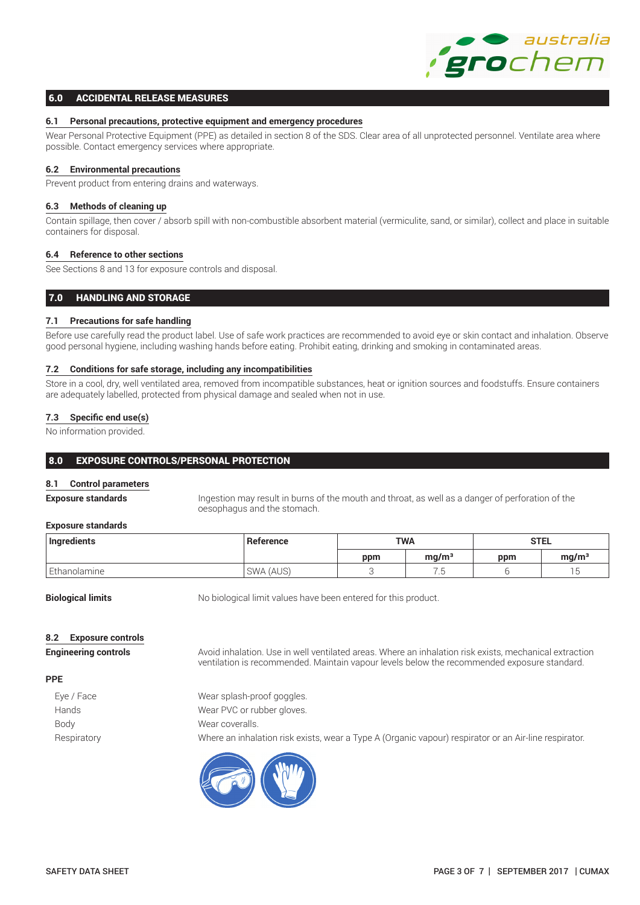# 6.0 ACCIDENTAL RELEASE MEASURES

### **6.1 Personal precautions, protective equipment and emergency procedures**

Wear Personal Protective Equipment (PPE) as detailed in section 8 of the SDS. Clear area of all unprotected personnel. Ventilate area where possible. Contact emergency services where appropriate.

### **6.2 Environmental precautions**

Prevent product from entering drains and waterways.

# **6.3 Methods of cleaning up**

Contain spillage, then cover / absorb spill with non-combustible absorbent material (vermiculite, sand, or similar), collect and place in suitable containers for disposal.

# **6.4 Reference to other sections**

See Sections 8 and 13 for exposure controls and disposal.

# 7.0 HANDLING AND STORAGE

# **7.1 Precautions for safe handling**

Before use carefully read the product label. Use of safe work practices are recommended to avoid eye or skin contact and inhalation. Observe good personal hygiene, including washing hands before eating. Prohibit eating, drinking and smoking in contaminated areas.

### **7.2 Conditions for safe storage, including any incompatibilities**

Store in a cool, dry, well ventilated area, removed from incompatible substances, heat or ignition sources and foodstuffs. Ensure containers are adequately labelled, protected from physical damage and sealed when not in use.

# **7.3 Specific end use(s)**

No information provided.

# 8.0 EXPOSURE CONTROLS/PERSONAL PROTECTION

#### **8.1 Control parameters**

**Exposure standards** Ingestion may result in burns of the mouth and throat, as well as a danger of perforation of the oesophagus and the stomach.

### **Exposure standards**

| Ingredients  | Reference |     | <b>TWA</b>        | <b>STEL</b> |                   |
|--------------|-----------|-----|-------------------|-------------|-------------------|
|              |           | ppm | ma/m <sup>3</sup> | ppm         | ma/m <sup>3</sup> |
| Ethanolamine | SWA (AUS) |     | ن .               |             |                   |

**Biological limits** No biological limit values have been entered for this product.

#### **8.2 Exposure controls**

**Engineering controls Avoid inhalation. Use in well ventilated areas. Where an inhalation risk exists, mechanical extraction** ventilation is recommended. Maintain vapour levels below the recommended exposure standard.

#### **PPE**

| Eye / Face  | Wear splash-proof goggles.                                                                            |
|-------------|-------------------------------------------------------------------------------------------------------|
| Hands       | Wear PVC or rubber gloves.                                                                            |
| Body        | Wear coveralls.                                                                                       |
| Respiratory | Where an inhalation risk exists, wear a Type A (Organic vapour) respirator or an Air-line respirator. |

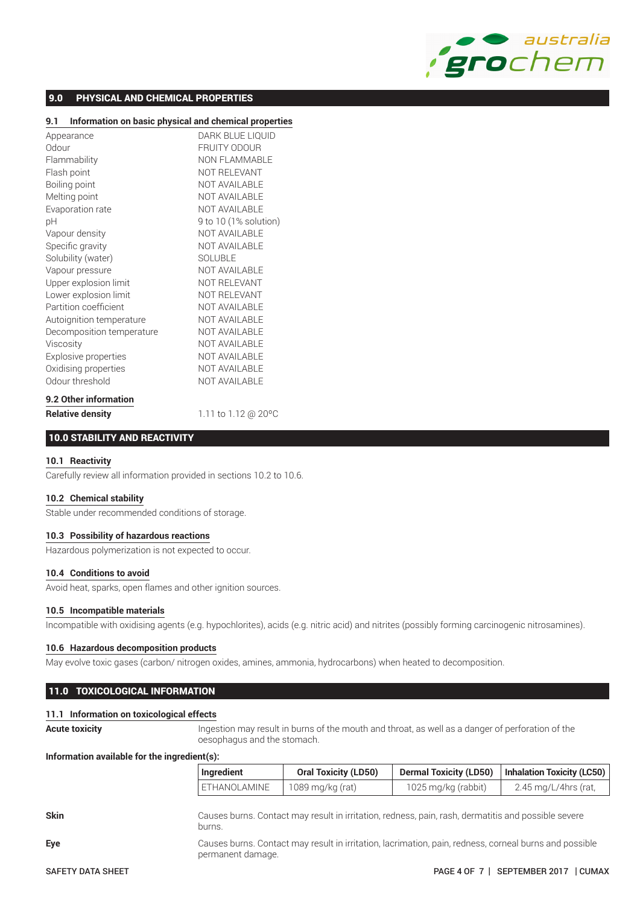

# 9.0 PHYSICAL AND CHEMICAL PROPERTIES

# **9.1 Information on basic physical and chemical properties**

| Appearance                | DARK BLUE LIQUID      |
|---------------------------|-----------------------|
| Odour                     | <b>FRUITY ODOUR</b>   |
| Flammability              | <b>NON FLAMMABLE</b>  |
| Flash point               | NOT RELEVANT          |
| Boiling point             | NOT AVAILABLE         |
| Melting point             | <b>NOT AVAILABLE</b>  |
| Evaporation rate          | <b>NOT AVAILABLE</b>  |
| рH                        | 9 to 10 (1% solution) |
| Vapour density            | NOT AVAILABLE         |
| Specific gravity          | <b>NOT AVAILABLE</b>  |
| Solubility (water)        | <b>SOLUBLE</b>        |
| Vapour pressure           | NOT AVAILABLE         |
| Upper explosion limit     | NOT RELEVANT          |
| Lower explosion limit     | NOT RELEVANT          |
| Partition coefficient     | NOT AVAILABLE         |
| Autoignition temperature  | <b>NOT AVAILABLE</b>  |
| Decomposition temperature | NOT AVAILABLE         |
| Viscosity                 | NOT AVAILABLE         |
| Explosive properties      | <b>NOT AVAILABLE</b>  |
| Oxidising properties      | <b>NOT AVAILABLE</b>  |
| Odour threshold           | <b>NOT AVAILABLE</b>  |
| 9.2 Other information     |                       |
| <b>Relative density</b>   | 1.11 to 1.12 @ 20°C   |

# 10.0 STABILITY AND REACTIVITY

#### **10.1 Reactivity**

Carefully review all information provided in sections 10.2 to 10.6.

# **10.2 Chemical stability**

Stable under recommended conditions of storage.

# **10.3 Possibility of hazardous reactions**

Hazardous polymerization is not expected to occur.

#### **10.4 Conditions to avoid**

Avoid heat, sparks, open flames and other ignition sources.

#### **10.5 Incompatible materials**

Incompatible with oxidising agents (e.g. hypochlorites), acids (e.g. nitric acid) and nitrites (possibly forming carcinogenic nitrosamines).

#### **10.6 Hazardous decomposition products**

May evolve toxic gases (carbon/ nitrogen oxides, amines, ammonia, hydrocarbons) when heated to decomposition.

# 11.0 TOXICOLOGICAL INFORMATION

#### **11.1 Information on toxicological effects**

**Acute toxicity** Ingestion may result in burns of the mouth and throat, as well as a danger of perforation of the oesophagus and the stomach.

#### **Information available for the ingredient(s):**

|                          | Ingredient          | <b>Oral Toxicity (LD50)</b>                                                                            | <b>Dermal Toxicity (LD50)</b> | <b>Inhalation Toxicity (LC50)</b> |
|--------------------------|---------------------|--------------------------------------------------------------------------------------------------------|-------------------------------|-----------------------------------|
|                          | <b>ETHANOLAMINE</b> | 1089 mg/kg (rat)                                                                                       | 1025 mg/kg (rabbit)           | 2.45 mg/L/4hrs (rat,              |
| <b>Skin</b>              | burns.              | Causes burns. Contact may result in irritation, redness, pain, rash, dermatitis and possible severe    |                               |                                   |
| Eye                      | permanent damage.   | Causes burns. Contact may result in irritation, lacrimation, pain, redness, corneal burns and possible |                               |                                   |
| <b>SAFETY DATA SHEET</b> |                     |                                                                                                        | <b>PAGE 4 OF 7  </b>          | SEPTEMBER 2017<br><b>CUMAX</b>    |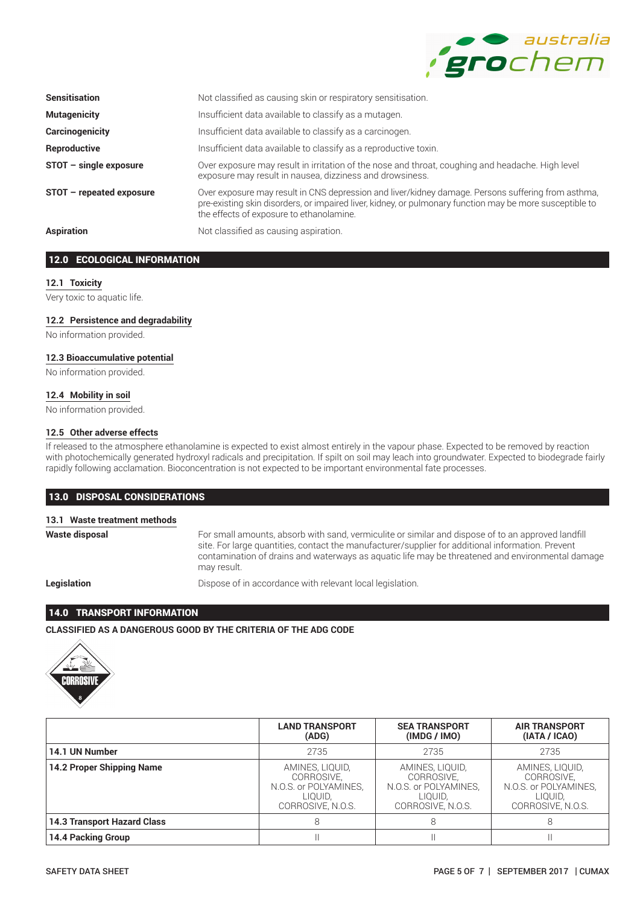

| <b>Sensitisation</b>     | Not classified as causing skin or respiratory sensitisation.                                                                                                                                                                                               |
|--------------------------|------------------------------------------------------------------------------------------------------------------------------------------------------------------------------------------------------------------------------------------------------------|
| <b>Mutagenicity</b>      | Insufficient data available to classify as a mutagen.                                                                                                                                                                                                      |
| <b>Carcinogenicity</b>   | Insufficient data available to classify as a carcinogen.                                                                                                                                                                                                   |
| Reproductive             | Insufficient data available to classify as a reproductive toxin.                                                                                                                                                                                           |
| $STOT - single exposure$ | Over exposure may result in irritation of the nose and throat, coughing and headache. High level<br>exposure may result in nausea, dizziness and drowsiness.                                                                                               |
| STOT - repeated exposure | Over exposure may result in CNS depression and liver/kidney damage. Persons suffering from asthma,<br>pre-existing skin disorders, or impaired liver, kidney, or pulmonary function may be more susceptible to<br>the effects of exposure to ethanolamine. |
| <b>Aspiration</b>        | Not classified as causing aspiration.                                                                                                                                                                                                                      |

# 12.0 ECOLOGICAL INFORMATION

### **12.1 Toxicity**

Very toxic to aquatic life.

# **12.2 Persistence and degradability**

No information provided.

### **12.3 Bioaccumulative potential**

No information provided.

### **12.4 Mobility in soil**

No information provided.

### **12.5 Other adverse effects**

If released to the atmosphere ethanolamine is expected to exist almost entirely in the vapour phase. Expected to be removed by reaction with photochemically generated hydroxyl radicals and precipitation. If spilt on soil may leach into groundwater. Expected to biodegrade fairly rapidly following acclamation. Bioconcentration is not expected to be important environmental fate processes.

# 13.0 DISPOSAL CONSIDERATIONS

# **13.1 Waste treatment methods**

**Waste disposal** For small amounts, absorb with sand, vermiculite or similar and dispose of to an approved landfill site. For large quantities, contact the manufacturer/supplier for additional information. Prevent contamination of drains and waterways as aquatic life may be threatened and environmental damage may result.

**Legislation Dispose of in accordance with relevant local legislation.** 

# 14.0 TRANSPORT INFORMATION

**CLASSIFIED AS A DANGEROUS GOOD BY THE CRITERIA OF THE ADG CODE**



|                                    | <b>LAND TRANSPORT</b><br>(ADG)                                                         | <b>SEA TRANSPORT</b><br>(IMDG / IMO)                                                   | <b>AIR TRANSPORT</b><br>(IATA / ICAO)                                                  |
|------------------------------------|----------------------------------------------------------------------------------------|----------------------------------------------------------------------------------------|----------------------------------------------------------------------------------------|
| 14.1 UN Number                     | 2735                                                                                   | 2735                                                                                   | 2735                                                                                   |
| 14.2 Proper Shipping Name          | AMINES. LIQUID.<br>CORROSIVE.<br>N.O.S. or POLYAMINES,<br>LIOUID.<br>CORROSIVE, N.O.S. | AMINES, LIQUID.<br>CORROSIVE.<br>N.O.S. or POLYAMINES,<br>LIOUID.<br>CORROSIVE, N.O.S. | AMINES, LIQUID,<br>CORROSIVE.<br>N.O.S. or POLYAMINES,<br>LIOUID.<br>CORROSIVE, N.O.S. |
| <b>14.3 Transport Hazard Class</b> |                                                                                        |                                                                                        |                                                                                        |
| <b>14.4 Packing Group</b>          |                                                                                        |                                                                                        |                                                                                        |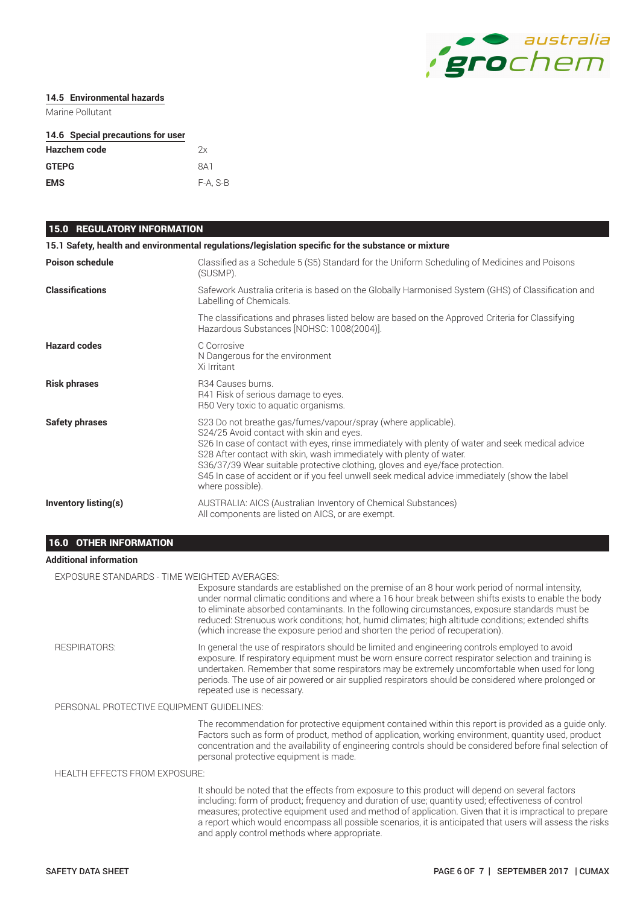

### **14.5 Environmental hazards**

Marine Pollutant

# **14.6 Special precautions for user**

| Hazchem code | 2x       |
|--------------|----------|
| <b>GTEPG</b> | 8A1      |
| <b>EMS</b>   | F-A, S-B |

# 15.0 REGULATORY INFORMATION

|                        | 15.1 Safety, health and environmental regulations/legislation specific for the substance or mixture                                                                                                                                                                                                                                                                                                                                                                                       |
|------------------------|-------------------------------------------------------------------------------------------------------------------------------------------------------------------------------------------------------------------------------------------------------------------------------------------------------------------------------------------------------------------------------------------------------------------------------------------------------------------------------------------|
| <b>Poison schedule</b> | Classified as a Schedule 5 (S5) Standard for the Uniform Scheduling of Medicines and Poisons<br>(SUSMP).                                                                                                                                                                                                                                                                                                                                                                                  |
| <b>Classifications</b> | Safework Australia criteria is based on the Globally Harmonised System (GHS) of Classification and<br>Labelling of Chemicals.                                                                                                                                                                                                                                                                                                                                                             |
|                        | The classifications and phrases listed below are based on the Approved Criteria for Classifying<br>Hazardous Substances [NOHSC: 1008(2004)].                                                                                                                                                                                                                                                                                                                                              |
| <b>Hazard codes</b>    | C Corrosive<br>N Dangerous for the environment<br>Xi Irritant                                                                                                                                                                                                                                                                                                                                                                                                                             |
| <b>Risk phrases</b>    | R34 Causes burns.<br>R41 Risk of serious damage to eyes.<br>R50 Very toxic to aquatic organisms.                                                                                                                                                                                                                                                                                                                                                                                          |
| <b>Safety phrases</b>  | S23 Do not breathe gas/fumes/vapour/spray (where applicable).<br>S24/25 Avoid contact with skin and eyes.<br>S26 In case of contact with eyes, rinse immediately with plenty of water and seek medical advice<br>S28 After contact with skin, wash immediately with plenty of water.<br>S36/37/39 Wear suitable protective clothing, gloves and eye/face protection.<br>S45 In case of accident or if you feel unwell seek medical advice immediately (show the label<br>where possible). |
| Inventory listing(s)   | AUSTRALIA: AICS (Australian Inventory of Chemical Substances)<br>All components are listed on AICS, or are exempt.                                                                                                                                                                                                                                                                                                                                                                        |

# 16.0 OTHER INFORMATION

# **Additional information**

EXPOSURE STANDARDS - TIME WEIGHTED AVERAGES:

Exposure standards are established on the premise of an 8 hour work period of normal intensity, under normal climatic conditions and where a 16 hour break between shifts exists to enable the body to eliminate absorbed contaminants. In the following circumstances, exposure standards must be reduced: Strenuous work conditions; hot, humid climates; high altitude conditions; extended shifts (which increase the exposure period and shorten the period of recuperation). RESPIRATORS: In general the use of respirators should be limited and engineering controls employed to avoid exposure. If respiratory equipment must be worn ensure correct respirator selection and training is undertaken. Remember that some respirators may be extremely uncomfortable when used for long periods. The use of air powered or air supplied respirators should be considered where prolonged or repeated use is necessary. PERSONAL PROTECTIVE EQUIPMENT GUIDELINES: The recommendation for protective equipment contained within this report is provided as a guide only. Factors such as form of product, method of application, working environment, quantity used, product concentration and the availability of engineering controls should be considered before final selection of personal protective equipment is made. HEALTH EFFECTS FROM EXPOSURE:

It should be noted that the effects from exposure to this product will depend on several factors including: form of product; frequency and duration of use; quantity used; effectiveness of control measures; protective equipment used and method of application. Given that it is impractical to prepare a report which would encompass all possible scenarios, it is anticipated that users will assess the risks and apply control methods where appropriate.